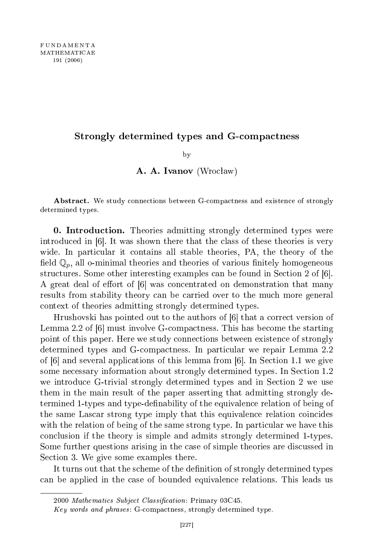## Strongly determined types and Gompa
tness

 $\mathbf{b}$  $\overline{\phantom{a}}$ 

## A. A. Ivanov (Wrocław)

Abstract. We study connections between G-compactness and existence of strongly determined types.

**0. Introduction.** Theories admitting strongly determined types were introduced in  $[6]$ . It was shown there that the class of these theories is very wide. In particular it contains all stable theories, PA, the theory of the field  $\mathbb{Q}_n$ , all o-minimal theories and theories of various finitely homogeneous structures. Some other interesting examples can be found in Section 2 of  $[6]$ . A great deal of effort of  $[6]$  was concentrated on demonstration that many results from stability theory an be arried over to the mu
h more general ontext of theories admitting strongly determined types.

Hrushovski has pointed out to the authors of [6] that a correct version of Lemma 2.2 of [6] must involve G-compactness. This has become the starting point of this paper. Here we study onne
tions between existen
e of strongly determined types and G-compactness. In particular we repair Lemma 2.2 of  $[6]$  and several applications of this lemma from  $[6]$ . In Section 1.1 we give some necessary information about strongly determined types. In Section 1.2 we introduce G-trivial strongly determined types and in Section 2 we use them in the main result of the paper asserting that admitting strongly determined 1-types and type-definability of the equivalence relation of being of the same Lascar strong type imply that this equivalence relation coincides with the relation of being of the same strong type. In particular we have this on
lusion if the theory is simple and admits strongly determined 1-types. Some further questions arising in the ase of simple theories are dis
ussed in Section 3. We give some examples there.

It turns out that the scheme of the definition of strongly determined types an be applied in the ase of bounded equivalen
e relations. This leads us

<sup>2000</sup> Mathematics Subject Classification: Primary 03C45.

Key words and phrases: G-compactness, strongly determined type.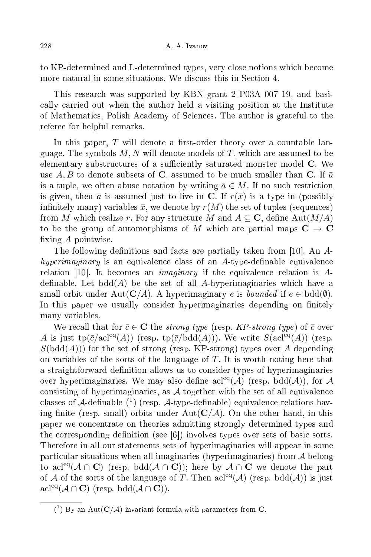to KP-determined and L-determined types, very lose notions whi
h be
ome more natural in some situations. We discuss this in Section 4.

This resear
h was supported by KBN grant 2 P03A 007 19, and basi ally arried out when the author held a visiting position at the Institute of Mathemati
s, Polish A
ademy of S
ien
es. The author is grateful to the referee for helpful remarks.

In this paper,  $T$  will denote a first-order theory over a countable language. The symbols  $M, N$  will denote models of T, which are assumed to be elementary substructures of a sufficiently saturated monster model C. We use A, B to denote subsets of C, assumed to be much smaller than C. If  $\bar{a}$ is a tuple, we often abuse notation by writing  $\bar{a} \in M$ . If no such restriction is given, then  $\bar{a}$  is assumed just to live in C. If  $r(\bar{x})$  is a type in (possibly infinitely many) variables  $\bar{x}$ , we denote by  $r(M)$  the set of tuples (sequences) from M which realize r. For any structure M and  $A \subseteq \mathbb{C}$ , define Aut $(M/A)$ to be the group of automorphisms of M which are partial maps  $C \rightarrow C$ fixing  $A$  pointwise.

The following definitions and facts are partially taken from [10]. An  $A$ hyperimaginary is an equivalence class of an  $A$ -type-definable equivalence relation [10]. It becomes an *imaginary* if the equivalence relation is  $A$ definable. Let  $\text{bdd}(A)$  be the set of all A-hyperimaginaries which have a small orbit under Aut( $\mathbf{C}/A$ ). A hyperimaginary e is bounded if  $e \in \text{bdd}(\emptyset)$ . In this paper we usually consider hyperimaginaries depending on finitely many variables.

We recall that for  $\bar{c} \in \mathbb{C}$  the *strong type* (resp. KP-strong type) of  $\bar{c}$  over A is just tp( $\bar{c}/\text{acl}^{\text{eq}}(A)$ ) (resp. tp( $\bar{c}/\text{bdd}(A)$ )). We write  $S(\text{acl}^{\text{eq}}(A))$  (resp.  $S(\text{bdd}(A)))$  for the set of strong (resp. KP-strong) types over A depending on variables of the sorts of the language of  $T$ . It is worth noting here that a straightforward definition allows us to consider types of hyperimaginaries over hyperimaginaries. We may also define acl<sup>eq</sup>( $\mathcal{A}$ ) (resp. bdd( $\mathcal{A}$ )), for  $\mathcal{A}$ consisting of hyperimaginaries, as  $A$  together with the set of all equivalence classes of A-definable  $(1)$  (resp. A-type-definable) equivalence relations having finite (resp. small) orbits under  $Aut(C/A)$ . On the other hand, in this paper we on
entrate on theories admitting strongly determined types and the corresponding definition (see  $[6]$ ) involves types over sets of basic sorts. Therefore in all our statements sets of hyperimaginaries will appear in some parti
ular situations when all imaginaries (hyperimaginaries) from A belong to acl<sup>eq</sup>( $A \cap C$ ) (resp. bdd( $A \cap C$ )); here by  $A \cap C$  we denote the part of A of the sorts of the language of T. Then  $\text{acl}^{\text{eq}}(\mathcal{A})$  (resp. bdd $(\mathcal{A}))$ ) is just  $\operatorname{acl}^{eq}(\mathcal{A}\cap\mathbf{C})$  (resp.  $\operatorname{bdd}(\mathcal{A}\cap\mathbf{C})$ ).

 $({}^{1})$  By an Aut $(C/A)$ -invariant formula with parameters from C.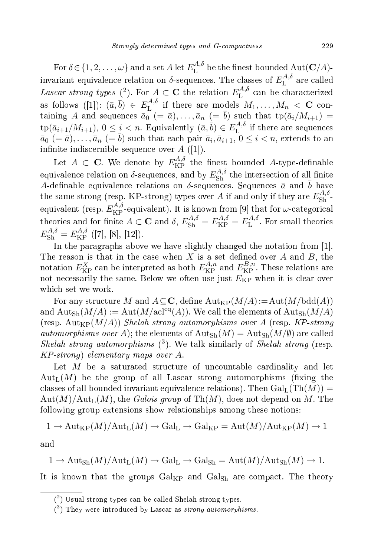For  $\delta \! \in \! \lbrace 1, 2, \ldots, \omega \rbrace$  and a set  $A$  let  $E^{A, \delta}_{\mathrm{L}}$  $\mathcal{L}^{(A, \delta)}_{\text{L}}$  be the finest bounded  $\text{Aut}(\mathbf{C}/A)$ invariant equivalence relation on  $\delta$ -sequences. The classes of  $E_{\rm L}^{A,\delta}$ L are cancer Lascar strong types (<sup>2</sup>). For  $A \subset \mathbf{C}$  the relation  $E_{\text{L}}^{A,\delta}$  $L$  can be characterized as follows  $([1])$ :  $(\bar{a}, \bar{b}) \in E_{\text{L}}^{A, \delta}$  $\mathcal{L}^{(A, \delta)}_{\text{L}}$  if there are models  $M_1, \ldots, M_n \, < \, \mathbf{C}$  containing A and sequences  $\bar{a}_0$  (=  $\bar{a}$ ),..., $\bar{a}_n$  (=  $\bar{b}$ ) such that  $tp(\bar{a}_i/M_{i+1})$  =  $\text{tp}(\bar{a}_{i+1}/M_{i+1}), 0 \leq i < n$ . Equivalently  $(\bar{a}, \bar{b}) \in E_{\text{L}}^{A, \delta}$ L if there are sequences  $\bar{a}_0\ (= \bar{a}), \ldots, \bar{a}_n\ (= \bar{b})$  such that each pair  $\bar{a}_i, \bar{a}_{i+1}, \bar{0} \leq i < n$ , extends to an infinite indiscernible sequence over  $A([1])$ .

Let  $A \subset \mathbf{C}$ . We denote by  $E_{\text{KP}}^{A,\delta}$  the finest bounded A-type-definable equivalence relation on  $\delta$ -sequences, and by  $E_{\rm Sh}^{A,\delta}$  $\text{Sh}$  the intersection of all nime A-definable equivalence relations on  $\delta$ -sequences. Sequences  $\bar{a}$  and  $\bar{b}$  have the same strong (resp. KP-strong) types over A if and only if they are  $E_{\rm Sh}^{A,\delta}$  $Sh$ equivalent (resp.  $E_{\text{KP}}^{A,\delta}$ -equivalent). It is known from [9] that for  $\omega$ -categorical theories and for finite  $A \subset \mathbf{C}$  and  $\delta$ ,  $E_{\rm Sh}^{A,\delta} = E_{\rm KP}^{A,\delta} = E_{\rm L}^{A,\delta}$ L . For small theories  $E_{\rm Sh}^{A,\delta}=E_{\rm KP}^{A,\delta}$  $KP$  ([1], [9], [12]).

In the paragraphs above we have slightly changed the notation from [1]. The reason is that in the case when X is a set defined over A and B, the notation  $E_{\rm KP}^X$  can be interpreted as both  $E_{\rm KP}^{A,n}$  and  $E_{\rm KP}^{B,n}$  $KP$  . These relations are not necessarily the same. Below we often use just  $E_{\text{KP}}$  when it is clear over whi
h set we work.

For any structure M and  $A \subseteq \mathbb{C}$ , define  $\text{Aut}_{KP}(M/A) := \text{Aut}(M/\text{bdd}(A))$ and  ${\rm Aut}_{\rm Sh}(M/A) := {\rm Aut}(M/{\rm acl}^{\rm eq}(A)).$  We call the elements of  ${\rm Aut}_{\rm Sh}(M/A)$ (resp.  $\text{Aut}_{\text{KP}}(M/A)$ ) Shelah strong automorphisms over A (resp. KP-strong *automorphisms over A*); the elements of  $\text{Aut}_{\text{Sh}}(M) = \text{Aut}_{\text{Sh}}(M/\emptyset)$  are called Shelah strong automorphisms  $(3)$ . We talk similarly of Shelah strong (resp.  $KP\text{-}strong) elementary maps over A.$ 

Let  $M$  be a saturated structure of uncountable cardinality and let  $Aut_L(M)$  be the group of all Lascar strong automorphisms (fixing the classes of all bounded invariant equivalence relations). Then  $Gal<sub>L</sub>(Th(M))$  =  $\text{Aut}(M)/\text{Aut}_{\text{L}}(M)$ , the Galois group of  $\text{Th}(M)$ , does not depend on M. The following group extensions show relationships among these notions:

$$
1 \to \mathrm{Aut}_{\mathrm{KP}}(M)/\mathrm{Aut}_{\mathrm{L}}(M) \to \mathrm{Gal}_{\mathrm{L}} \to \mathrm{Gal}_{\mathrm{KP}} = \mathrm{Aut}(M)/\mathrm{Aut}_{\mathrm{KP}}(M) \to 1
$$

and

$$
1 \to \mathrm{Aut}_{\mathrm{Sh}}(M)/\mathrm{Aut}_{\mathrm{L}}(M) \to \mathrm{Gal}_{\mathrm{L}} \to \mathrm{Gal}_{\mathrm{Sh}} = \mathrm{Aut}(M)/\mathrm{Aut}_{\mathrm{Sh}}(M) \to 1.
$$

It is known that the groups  $Gal_{KP}$  and  $Gal_{Sh}$  are compact. The theory

 $(2)$  Usual strong types can be called Shelah strong types.

 $(3)$  They were introduced by Lascar as *strong automorphisms*.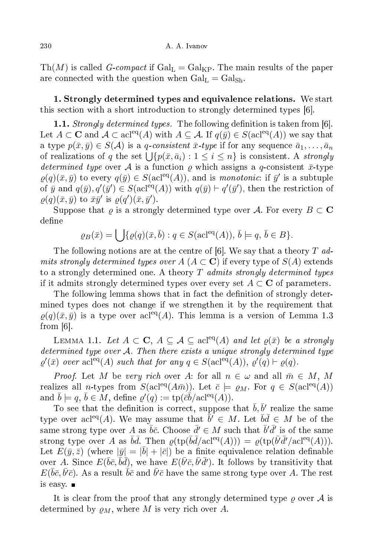Th(M) is called G-compact if  $Gal_{L} = Gal_{KP}$ . The main results of the paper are connected with the question when  $Gal_{L} = Gal_{Sh}$ .

1. Strongly determined types and equivalen
e relations. We start this section with a short introduction to strongly determined types [6].

1.1. Strongly determined types. The following definition is taken from [6]. Let  $A \subset \mathbf{C}$  and  $\mathcal{A} \subset \operatorname{acl}^{\text{eq}}(A)$  with  $A \subseteq \mathcal{A}$ . If  $q(\bar{y}) \in S(\operatorname{acl}^{\text{eq}}(A))$  we say that a type  $p(\bar{x}, \bar{y}) \in S(\mathcal{A})$  is a q-consistent  $\bar{x}$ -type if for any sequence  $\bar{a}_1, \ldots, \bar{a}_n$ of realizations of q the set  $\bigcup \{p(\bar{x}, \bar{a}_i) : 1 \leq i \leq n\}$  is consistent. A *strongly* determined type over A is a function  $\rho$  which assigns a q-consistent  $\bar{x}$ -type  $\varrho(q)(\bar{x}, \bar{y})$  to every  $q(\bar{y}) \in S(\text{acl}^{\text{eq}}(A))$ , and is monotonic: if  $\bar{y}'$  is a subtuple of  $\bar{y}$  and  $q(\bar{y}), q'(\bar{y}') \in S(\text{acl}^{\text{eq}}(A))$  with  $q(\bar{y}) \vdash q'(\bar{y}')$ , then the restriction of  $\rho(q)(\bar{x},\bar{y})$  to  $\bar{x}\bar{y}'$  is  $\rho(q')(\bar{x},\bar{y}')$ .

Suppose that  $\rho$  is a strongly determined type over A. For every  $B \subset \mathbf{C}$ define

$$
\varrho_B(\bar{x}) = \bigcup \{ \varrho(q)(\bar{x}, \bar{b}) : q \in S(\text{acl}^{\text{eq}}(A)), \bar{b} \models q, \bar{b} \in B \}.
$$

The following notions are at the centre of [6]. We say that a theory T admits strongly determined types over  $A(A \subset \mathbf{C})$  if every type of  $S(A)$  extends to a strongly determined one. A theory  $T$  admits strongly determined types if it admits strongly determined types over every set  $A \subset \mathbf{C}$  of parameters.

The following lemma shows that in fact the definition of strongly determined types does not hange if we strengthen it by the requirement that  $\rho(q)(\bar{x}, \bar{y})$  is a type over acl<sup>eq</sup>(A). This lemma is a version of Lemma 1.3 from  $[6]$ .

LEMMA 1.1. Let  $A \subset \mathbf{C}$ ,  $A \subseteq \mathcal{A} \subseteq \text{acl}^{\text{eq}}(A)$  and let  $\varrho(\bar{x})$  be a strongly determined type over A. Then there exists a unique strongly determined type  $\varrho'(\bar{x})$  over acl<sup>eq</sup>(A) such that for any  $q \in S(\text{acl}^{\text{eq}}(A)), \varrho'(q) \vdash \varrho(q)$ .

*Proof.* Let M be very rich over A: for all  $n \in \omega$  and all  $\bar{m} \in M$ , M realizes all *n*-types from  $S(\text{acl}^{eq}(A\bar{m}))$ . Let  $\bar{c} \models \varrho_M$ . For  $q \in S(\text{acl}^{eq}(A))$ and  $\bar{b} \models q$ ,  $\bar{b} \in M$ , define  $\varrho'(q) := \text{tp}(\bar{c}\bar{b}/\text{acl}^{\text{eq}}(A)).$ 

To see that the definition is correct, suppose that  $\bar{b}, \bar{b}'$  realize the same type over acl<sup>eq</sup>(A). We may assume that  $\bar{b}' \in M$ . Let  $\bar{b}\bar{d} \in M$  be of the same strong type over A as  $\bar{b}\bar{c}$ . Choose  $\bar{d}' \in M$  such that  $\bar{b}'\bar{d}'$  is of the same strong type over A as  $\bar{b}\bar{d}$ . Then  $\varrho(\text{tp}(\bar{b}\bar{d}/\text{acl}^{\text{eq}}(A))) = \varrho(\text{tp}(\bar{b'}\bar{d'}/\text{acl}^{\text{eq}}(A))).$ Let  $E(\bar{y}, \bar{z})$  (where  $|\bar{y}| = |\bar{b}| + |\bar{c}|$ ) be a finite equivalence relation definable over A. Since  $E(\bar{b}\bar{c}, \bar{b}\bar{d})$ , we have  $E(\bar{b'}\bar{c}, \bar{b'}\bar{d'})$ . It follows by transitivity that  $E(\bar b \bar c, \bar b' \bar c)$ . As a result  $\bar b \bar c$  and  $\bar b' \bar c$  have the same strong type over A. The rest is easy.

It is clear from the proof that any strongly determined type  $\varrho$  over  $\mathcal A$  is determined by  $\rho_M$ , where M is very rich over A.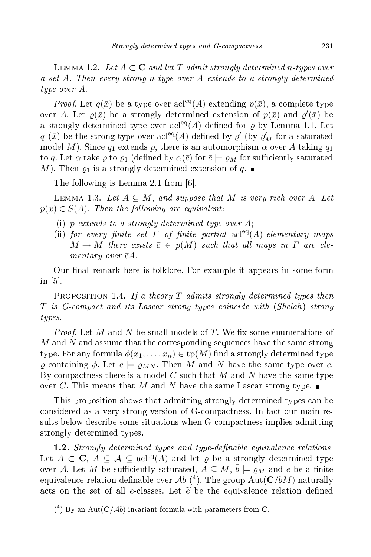LEMMA 1.2. Let  $A \subset \mathbf{C}$  and let T admit strongly determined n-types over a set A. Then every strong n-type over A extends to a strongly determined type over A.

*Proof.* Let  $q(\bar{x})$  be a type over acl<sup>eq</sup>(A) extending  $p(\bar{x})$ , a complete type over A. Let  $\varrho(\bar{x})$  be a strongly determined extension of  $p(\bar{x})$  and  $\varrho'(\bar{x})$  be a strongly determined type over acl<sup>eq</sup>(A) defined for  $\rho$  by Lemma 1.1. Let  $q_1(\bar{x})$  be the strong type over  $\operatorname{acl}^{\text{eq}}(A)$  defined by  $\varrho'$  (by  $\varrho'$  $M$  for a saturated model M). Since  $q_1$  extends p, there is an automorphism  $\alpha$  over A taking  $q_1$ to q. Let  $\alpha$  take  $\varrho$  to  $\rho_1$  (defined by  $\alpha(\bar{c})$  for  $\bar{c} \models \varrho_M$  for sufficiently saturated M). Then  $\varrho_1$  is a strongly determined extension of q.

The following is Lemma 2.1 from  $[6]$ .

LEMMA 1.3. Let  $A \subseteq M$ , and suppose that M is very rich over A. Let  $p(\bar{x}) \in S(A)$ . Then the following are equivalent:

- (i) p extends to a strongly determined type over  $A$ ;
- (ii) for every finite set  $\Gamma$  of finite partial acl<sup>eq</sup>(A)-elementary maps  $M \to M$  there exists  $\bar{c} \in p(M)$  such that all maps in  $\Gamma$  are elementary over  $\bar{c}A$ .

Our final remark here is folklore. For example it appears in some form in  $[5]$ .

PROPOSITION 1.4. If a theory  $T$  admits strongly determined types then T is Gompa
t and its Las
ar strong types oin
ide with (Shelah) strong types.

*Proof.* Let M and N be small models of T. We fix some enumerations of  $M$  and  $N$  and assume that the corresponding sequences have the same strong type. For any formula  $\phi(x_1, \ldots, x_n) \in \text{tp}(M)$  find a strongly determined type  $\rho$  containing  $\phi$ . Let  $\bar{c} \models \rho_{MN}$ . Then M and N have the same type over  $\bar{c}$ . By compactness there is a model C such that M and N have the same type over C. This means that M and N have the same Lascar strong type.  $\blacksquare$ 

This proposition shows that admitting strongly determined types an be considered as a very strong version of G-compactness. In fact our main results below describe some situations when G-compactness implies admitting strongly determined types.

1.2. Strongly determined types and type-definable equivalence relations. Let  $A \subset \mathbf{C}$ ,  $A \subseteq \mathcal{A} \subseteq \text{acl}^{\text{eq}}(A)$  and let  $\varrho$  be a strongly determined type over A. Let M be sufficiently saturated,  $A \subseteq M$ ,  $\overline{b} \models \varrho_M$  and e be a finite equivalence relation definable over  $\mathcal{A}\bar{b}$  (<sup>4</sup>). The group  $\mathrm{Aut}(\mathbf{C}/\bar{b}M)$  naturally acts on the set of all e-classes. Let  $\tilde{e}$  be the equivalence relation defined

 $({}^{4})$  By an Aut $(C/\mathcal{A}\bar{b})$ -invariant formula with parameters from C.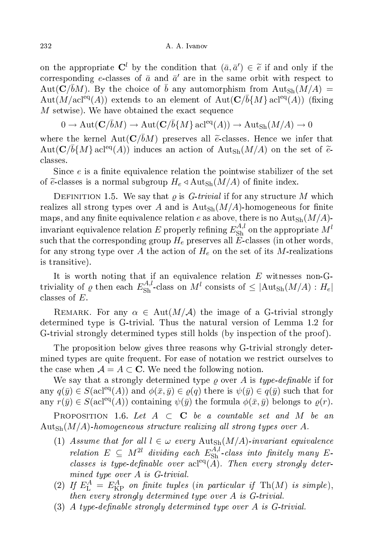on the appropriate  $\mathbf{C}^l$  by the condition that  $(\bar{a}, \bar{a}') \in \tilde{e}$  if and only if the corresponding e-classes of  $\bar{a}$  and  $\bar{a}'$  are in the same orbit with respect to  $\mathrm{Aut}(\mathbf{C}/\bar{b}M)$ . By the choice of  $\bar{b}$  any automorphism from  $\mathrm{Aut}_\mathrm{Sh}(M/A)$  =  $\mathrm{Aut}(M/\mathrm{acl}^\mathrm{eq}(A))$  extends to an element of  $\mathrm{Aut}(\mathbf{C}/\bar{b}\{M\}\,\mathrm{acl}^\mathrm{eq}(A))$  (fixing  $M$  setwise). We have obtained the exact sequence

$$
0 \to \mathrm{Aut}(\mathbf{C}/\bar{b}M) \to \mathrm{Aut}(\mathbf{C}/\bar{b}\{M\} \operatorname{acl}^{eq}(A)) \to \mathrm{Aut}_{\mathrm{Sh}}(M/A) \to 0
$$

where the kernel  $Aut(C/\bar{b}M)$  preserves all  $\tilde{e}$ -classes. Hence we infer that  $\text{Aut}(\mathbf{C}/\bar{b}\{M\}\text{ acl}^{\text{eq}}(A))$  induces an action of  $\text{Aut}_{\text{Sh}}(M/A)$  on the set of  $\tilde{e}_z$ lasses.

Since  $e$  is a finite equivalence relation the pointwise stabilizer of the set of  $\tilde{e}$ -classes is a normal subgroup  $H_e \triangleleft \text{Aut}_{\text{Sh}}(M/A)$  of finite index.

DEFINITION 1.5. We say that  $\rho$  is *G*-trivial if for any structure M which realizes all strong types over A and is  $\text{Aut}_{\text{Sh}}(M/A)$ -homogeneous for finite maps, and any finite equivalence relation e as above, there is no  $\text{Aut}_{\text{Sh}}(M/A)$ invariant equivalence relation  $E$  properly refining  $E_{\rm Sh}^{A,l}$  on the appropriate  $M^l$ such that the corresponding group  $H_e$  preserves all  $E$ -classes (in other words, for any strong type over A the action of  $H_e$  on the set of its M-realizations is transitive).

It is worth noting that if an equivalence relation  $E$  witnesses non-Gtriviality of  $\varrho$  then each  $E_{\rm Sh}^{A,l}$ -class on  $M^l$  consists of  $\leq$   $|\text{Aut}_{\rm Sh}(M/A) : H_e|$ classes of  $E$ .

REMARK. For any  $\alpha \in Aut(M/\mathcal{A})$  the image of a G-trivial strongly determined type is G-trivial. Thus the natural version of Lemma 1.2 for G-trivial strongly determined types still holds (by inspection of the proof).

The proposition below gives three reasons why G-trivial strongly determined types are quite frequent. For ease of notation we restrict ourselves to the case when  $A = A \subset \mathbb{C}$ . We need the following notion.

We say that a strongly determined type  $\rho$  over A is type-definable if for any  $q(\bar{y}) \in S(\text{acl}^{\text{eq}}(A))$  and  $\phi(\bar{x}, \bar{y}) \in \varrho(q)$  there is  $\psi(\bar{y}) \in q(\bar{y})$  such that for any  $r(\bar{y}) \in S(\text{acl}^{\text{eq}}(A))$  containing  $\psi(\bar{y})$  the formula  $\phi(\bar{x}, \bar{y})$  belongs to  $\rho(r)$ .

PROPOSITION 1.6. Let  $A \subset \mathbf{C}$  be a countable set and M be an  $\text{Aut}_{\text{Sh}}(M/A)$ -homogeneous structure realizing all strong types over A.

- (1) Assume that for all  $l \in \omega$  every  $\text{Aut}_{\text{Sh}}(M/A)$ -invariant equivalence relation  $E \subseteq M^{2l}$  dividing each  $E_{\rm Sh}^{A,l}$ -class into finitely many Eclasses is type-definable over  $\operatorname{acl}^{eq}(\overline{A})$ . Then every strongly determined type over A is G-trivial.
- (2) If  $E_{\text{L}}^{A} = E_{\text{KP}}^{A}$  on finite tuples (in particular if Th(M) is simple), then every strongly determined type over A is G-trivial.
- (3) A type-definable strongly determined type over A is  $G$ -trivial.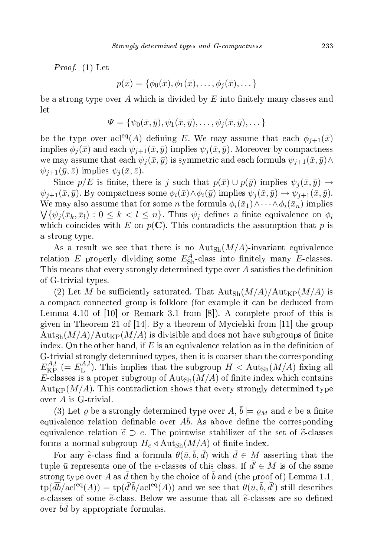Proof. (1) Let

$$
p(\bar{x}) = \{ \phi_0(\bar{x}), \phi_1(\bar{x}), \dots, \phi_j(\bar{x}), \dots \}
$$

be a strong type over A which is divided by  $E$  into finitely many classes and let

$$
\Psi = \{\psi_0(\bar{x}, \bar{y}), \psi_1(\bar{x}, \bar{y}), \dots, \psi_j(\bar{x}, \bar{y}), \dots\}
$$

be the type over  $\operatorname{acl}^{eq}(A)$  defining E. We may assume that each  $\phi_{j+1}(\bar{x})$ implies  $\phi_i(\bar{x})$  and each  $\psi_{i+1}(\bar{x}, \bar{y})$  implies  $\psi_i(\bar{x}, \bar{y})$ . Moreover by compactness we may assume that each  $\psi_i(\bar{x}, \bar{y})$  is symmetric and each formula  $\psi_{i+1}(\bar{x}, \bar{y}) \wedge$  $\psi_{i+1}(\bar{y}, \bar{z})$  implies  $\psi_i(\bar{x}, \bar{z})$ .

Since  $p/E$  is finite, there is j such that  $p(\bar{x}) \cup p(\bar{y})$  implies  $\psi_i(\bar{x}, \bar{y}) \rightarrow$  $\psi_{j+1}(\bar{x}, \bar{y})$ . By compactness some  $\phi_i(\bar{x}) \wedge \phi_i(\bar{y})$  implies  $\psi_j(\bar{x}, \bar{y}) \rightarrow \psi_{j+1}(\bar{x}, \bar{y})$ . We may also assume that for some n the formula  $\phi_i(\bar{x}_1) \wedge \cdots \wedge \phi_i(\bar{x}_n)$  implies  $\bigvee \{\psi_j(\bar{x}_k,\bar{x}_l): 0 \leq k < l \leq n\}.$  Thus  $\psi_j$  defines a finite equivalence on  $\phi_i$ which coincides with E on  $p(C)$ . This contradicts the assumption that p is a strong type.

As a result we see that there is no  $\text{Aut}_{\text{Sh}}(M/A)$ -invariant equivalence relation E properly dividing some  $E_{\text{Sh}}^A$ -class into finitely many E-classes. This means that every strongly determined type over  $A$  satisfies the definition of G-trivial types.

(2) Let M be sufficiently saturated. That  $\text{Aut}_{\text{Sh}}(M/A)/\text{Aut}_{\text{KP}}(M/A)$  is a ompa
t onne
ted group is folklore (for example it an be dedu
ed from Lemma 4.10 of  $[10]$  or Remark 3.1 from  $[8]$ ). A complete proof of this is given in Theorem 21 of  $[14]$ . By a theorem of Mycielski from  $[11]$  the group  $\text{Aut}_{\text{Sh}}(M/A)/\text{Aut}_{\text{KP}}(M/A)$  is divisible and does not have subgroups of finite index. On the other hand, if  $E$  is an equivalence relation as in the definition of G-trivial strongly determined types, then it is oarser than the orresponding  $E_{\mathrm{KP}}^{A,l}$  (=  $E_{\mathrm{L}}^{A,l}$  $L^{(A,\iota)}$ . This implies that the subgroup  $H < \text{Aut}_{\text{Sh}}(M/A)$  fixing all E-classes is a proper subgroup of  $\text{Aut}_{\text{Sh}}(M/A)$  of finite index which contains  $\text{Aut}_{\text{KP}}(M/A)$ . This contradiction shows that every strongly determined type over A is G-trivial.

(3) Let  $\varrho$  be a strongly determined type over  $A, \bar{b} \models \varrho_M$  and  $e$  be a finite equivalence relation definable over  $Ab$ . As above define the corresponding equivalence relation  $\tilde{e} \supset e$ . The pointwise stabilizer of the set of  $\tilde{e}$ -classes forms a normal subgroup  $H_e \triangleleft \text{Aut}_{\text{Sh}}(M/A)$  of finite index.

For any  $\tilde{e}$ -class find a formula  $\theta(\bar{u}, b, d)$  with  $d \in M$  asserting that the tuple  $\bar{u}$  represents one of the e-classes of this class. If  $\bar{d}' \in M$  is of the same strong type over A as  $\bar{d}$  then by the choice of b and (the proof of) Lemma 1.1,  $\text{tp}(\overline{db}/\text{acl}^{\text{eq}}(A)) = \text{tp}(\overline{d'b}/\text{acl}^{\text{eq}}(A))$  and we see that  $\theta(\overline{u}, \overline{b}, \overline{d'})$  still describes e-classes of some  $\tilde{e}$ -class. Below we assume that all  $\tilde{e}$ -classes are so defined over  $\bar{b}\bar{d}$  by appropriate formulas.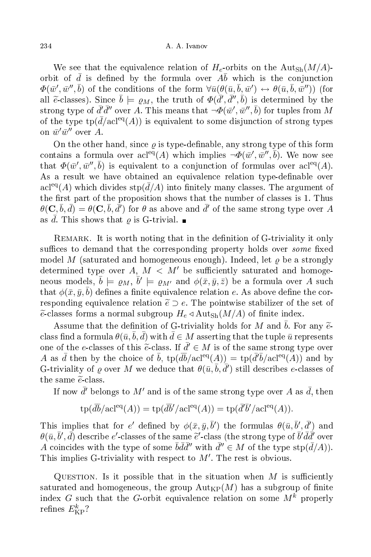We see that the equivalence relation of  $H_e$ -orbits on the Aut<sub>Sh</sub> $(M/A)$ orbit of  $\bar{d}$  is defined by the formula over  $A\bar{b}$  which is the conjunction  $\varPhi(\bar w',\bar w'',\bar b)$  of the conditions of the form  $\forall \bar u( \theta(\bar u,\bar b,\bar w') \leftrightarrow \theta(\bar u,\bar b,\bar w''))$  (for all  $\tilde{e}$ -classes). Since  $\bar{b} \models \varrho_M$ , the truth of  $\Phi(\bar{d}', \bar{d}'', \bar{b})$  is determined by the strong type of  $\bar{d}'\bar{d}''$  over  $A.$  This means that  $\neg\Phi(\bar{w}',\bar{w}'',\bar{b})$  for tuples from  $M$ of the type  $tp(d/acl^{eq}(A))$  is equivalent to some disjunction of strong types on  $\bar{w}'\bar{w}''$  over A.

On the other hand, since  $\rho$  is type-definable, any strong type of this form contains a formula over  $\operatorname{acl}^{eq}(A)$  which implies  $\neg \Phi(\bar{w}', \bar{w}'', \bar{b})$ . We now see that  $\Phi(\bar{w}', \bar{w}'', \bar{b})$  is equivalent to a conjunction of formulas over acl<sup>eq</sup>(A). As a result we have obtained an equivalence relation type-definable over  $\operatorname{acl}^{\text{eq}}(A)$  which divides  $\operatorname{stp}(d/A)$  into finitely many classes. The argument of the first part of the proposition shows that the number of classes is 1. Thus  $\theta({\bf C},\bar b,\bar d)=\theta({\bf C},\bar b,\bar d')$  for  $\theta$  as above and  $\bar d'$  of the same strong type over  $A$ as d. This shows that  $\varrho$  is G-trivial.  $\blacksquare$ 

REMARK. It is worth noting that in the definition of G-triviality it only suffices to demand that the corresponding property holds over *some* fixed model M (saturated and homogeneous enough). Indeed, let  $\rho$  be a strongly determined type over A,  $M < M'$  be sufficiently saturated and homogeneous models,  $\bar{b} \models \varrho_M, \bar{b}' \models \varrho_{M'}$  and  $\phi(\bar{x}, \bar{y}, \bar{z})$  be a formula over A such that  $\phi({\bar x}, {\bar y}, {\bar b})$  defines a finite equivalence relation  $e.$  As above define the corresponding equivalence relation  $\tilde{e} \supset e$ . The pointwise stabilizer of the set of  $\widetilde{e}$ -classes forms a normal subgroup  $H_e \triangleleft \mathrm{Aut}_{\mathrm{Sh}}(M/A)$  of finite index.

Assume that the definition of G-triviality holds for M and b. For any  $\tilde{e}$ class find a formula  $\theta(\bar{u}, b, d)$  with  $d \in M$  asserting that the tuple  $\bar{u}$  represents one of the e-classes of this  $\tilde{e}$ -class. If  $\bar{d}' \in M$  is of the same strong type over A as  $\bar{d}$  then by the choice of  $\bar{b}$ ,  $\text{tp}(\bar{d}\bar{b}/\text{acl}^{\text{eq}}(A)) = \text{tp}(\bar{d}'\bar{b}/\text{acl}^{\text{eq}}(A))$  and by G-triviality of  $\varrho$  over M we deduce that  $\theta(\bar{u}, \bar{b}, \bar{d}')$  still describes e-classes of the same  $\widetilde{e}$ -class.

If now  $\bar{d}'$  belongs to  $M'$  and is of the same strong type over  $A$  as  $\bar{d}$ , then

$$
\text{tp}(\overline{db}/\text{acl}^{\text{eq}}(A)) = \text{tp}(\overline{db}'/\text{acl}^{\text{eq}}(A)) = \text{tp}(\overline{d'}\overline{b}'/\text{acl}^{\text{eq}}(A)).
$$

This implies that for e' defined by  $\phi(\bar{x}, \bar{y}, \bar{b}')$  the formulas  $\theta(\bar{u}, \bar{b}', \bar{d}')$  and  $\theta(\bar{u}, \bar{b}', \bar{d})$  describe e'-classes of the same  $\tilde{e}'$ -class (the strong type of  $\bar{b}' \bar{d} \bar{d}'$  over A coincides with the type of some  $\bar{b}d\bar{d}''$  with  $\bar{d}'' \in M$  of the type stp $(\bar{d}/A)$ . This implies G-triviality with respect to  $M'$ . The rest is obvious.

QUESTION. Is it possible that in the situation when  $M$  is sufficiently saturated and homogeneous, the group  ${\rm Aut}_{KP}(M)$  has a subgroup of finite index G such that the G-orbit equivalence relation on some  $M^k$  properly refines  $E^k_{\rm KP}$ ?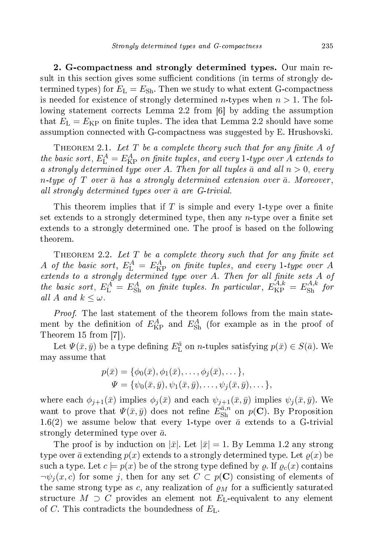2. Gompa
tness and strongly determined types. Our main result in this section gives some sufficient conditions (in terms of strongly determined types) for  $E_{\rm L} = E_{\rm Sh}$ . Then we study to what extent G-compactness is needed for existence of strongly determined *n*-types when  $n > 1$ . The following statement corrects Lemma 2.2 from [6] by adding the assumption that  $E_{\rm L} = E_{\rm KP}$  on finite tuples. The idea that Lemma 2.2 should have some assumption onne
ted with Gompa
tness was suggested by E. Hrushovski.

THEOREM 2.1. Let  $T$  be a complete theory such that for any finite  $A$  of the basic sort,  $E_{\rm L}^A = E_{\rm KP}^A$  on finite tuples, and every 1-type over A extends to a strongly determined type over A. Then for all tuples  $\bar{a}$  and all  $n > 0$ , every n-type of T over  $\bar{a}$  has a strongly determined extension over  $\bar{a}$ . Moreover, all strongly determined types over  $\bar{a}$  are G-trivial.

This theorem implies that if T is simple and every 1-type over a finite set extends to a strongly determined type, then any  $n$ -type over a finite set extends to a strongly determined one. The proof is based on the following theorem.

THEOREM 2.2. Let T be a complete theory such that for any finite set  $A$  of the basic sort,  $E_{\rm L}^A$  =  $E_{\rm KP}^A$  on finite tuples, and every 1-type over  $A$ extends to a strongly determined type over  $A$ . Then for all finite sets  $A$  of the basic sort,  $E_{\rm L}^A = E_{\rm Sh}^A$  on finite tuples. In particular,  $E_{\rm KP}^{A,k} = E_{\rm Sh}^{A,k}$  $\mathrm{Sh}$   $J^{U}$ all A and  $k \leq \omega$ .

Proof. The last statement of the theorem follows from the main statement by the definition of  $E_{\text{KP}}^A$  and  $E_{\text{Sh}}^A$  (for example as in the proof of Theorem 15 from  $[7]$ ).

Let  $\Psi(\bar{x}, \bar{y})$  be a type defining  $E_{\text{L}}^{\bar{a}}$  on *n*-tuples satisfying  $p(\bar{x}) \in S(\bar{a})$ . We may assume that

$$
p(\bar{x}) = \{\phi_0(\bar{x}), \phi_1(\bar{x}), \dots, \phi_j(\bar{x}), \dots\},
$$
  

$$
\Psi = \{\psi_0(\bar{x}, \bar{y}), \psi_1(\bar{x}, \bar{y}), \dots, \psi_j(\bar{x}, \bar{y}), \dots\},
$$

where each  $\phi_{j+1}(\bar{x})$  implies  $\phi_j(\bar{x})$  and each  $\psi_{j+1}(\bar{x}, \bar{y})$  implies  $\psi_j(\bar{x}, \bar{y})$ . We want to prove that  $\Psi(\bar{x}, \bar{y})$  does not refine  $E_{\rm Sh}^{\bar{a},n}$  on  $p(\mathbf{C})$ . By Proposition 1.6(2) we assume below that every 1-type over  $\bar{a}$  extends to a G-trivial strongly determined type over  $\bar{a}$ .

The proof is by induction on  $|\bar{x}|$ . Let  $|\bar{x}| = 1$ . By Lemma 1.2 any strong type over  $\bar{a}$  extending  $p(x)$  extends to a strongly determined type. Let  $\varrho(x)$  be such a type. Let  $c \models p(x)$  be of the strong type defined by  $\rho$ . If  $\rho_c(x)$  contains  $\neg\psi_i(x,c)$  for some j, then for any set  $C \subset p(C)$  consisting of elements of the same strong type as c, any realization of  $\varrho_M$  for a sufficiently saturated structure  $M \supset C$  provides an element not  $E_{\text{L}}$ -equivalent to any element of C. This contradicts the boundedness of  $E<sub>L</sub>$ .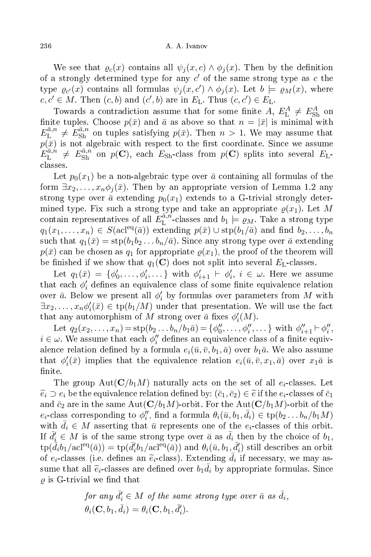We see that  $\varrho_c(x)$  contains all  $\psi_i(x,c) \wedge \phi_i(x)$ . Then by the definition of a strongly determined type for any  $c'$  of the same strong type as  $c$  the type  $\varrho_{c'}(x)$  contains all formulas  $\psi_j(x, c') \wedge \phi_j(x)$ . Let  $b \models \varrho_M(x)$ , where  $c, c' \in M$ . Then  $(c, b)$  and  $(c', b)$  are in  $E_L$ . Thus  $(c, c') \in E_L$ .

Towards a contradiction assume that for some finite  $A, E_{\text{L}}^{A} \neq E_{\text{Sh}}^{A}$  on finite tuples. Choose  $p(\bar{x})$  and  $\bar{a}$  as above so that  $n = |\bar{x}|$  is minimal with  $E_\mathrm{L}^{\bar{a},n}$  $\bar{a}_{\text{L}}^{a,n} \neq E_{\text{Sh}}^{\bar{a},n}$  on tuples satisfying  $p(\bar{x})$ . Then  $n > 1$ . We may assume that  $p(\bar{x})$  is not algebraic with respect to the first coordinate. Since we assume  $E_\mathrm{L}^{\bar{a},n}$  $L_L^{\bar{a},n} \neq E_{\rm Sh}^{\bar{a},n}$  on  $p(\mathbf{C})$ , each  $E_{\rm Sh}$ -class from  $p(\mathbf{C})$  splits into several  $E_{\rm L}$ lasses.

Let  $p_0(x_1)$  be a non-algebraic type over  $\bar{a}$  containing all formulas of the form  $\exists x_2, \ldots, x_n \phi_i(\bar{x})$ . Then by an appropriate version of Lemma 1.2 any strong type over  $\bar{a}$  extending  $p_0(x_1)$  extends to a G-trivial strongly determined type. Fix such a strong type and take an appropriate  $\varrho(x_1)$ . Let M contain representatives of all  $E_L^{\bar{a},n}$  $L^{u,n}$ -classes and  $b_1 \models \varrho_M$ . Take a strong type  $q_1(x_1,\ldots,x_n)\in S(\text{acl}^{\text{eq}}(\bar{a}))$  extending  $p(\bar{x})\cup \text{stp}(b_1/\bar{a})$  and find  $b_2,\ldots,b_n$ such that  $q_1(\bar{x}) = \text{stp}(b_1b_2...b_n/\bar{a})$ . Since any strong type over  $\bar{a}$  extending  $p(\bar{x})$  can be chosen as  $q_1$  for appropriate  $p(x_1)$ , the proof of the theorem will be finished if we show that  $q_1(\mathbf{C})$  does not split into several  $E_{\text{L}}$ -classes.

Let  $q_1(\bar{x}) = \{\phi'_0, \ldots, \phi'_i, \ldots\}$  with  $\phi'_{i+1} \vdash \phi'_{i}$  $i, i \in \omega$ . Here we assume that each  $\phi'_i$  $i$  dennes an equivalence class of some mnite equivalence relation over  $\bar{a}$ . Below we present all  $\phi_i'$  $\mathcal{C}_i'$  by formulas over parameters from  $M$  with  $\exists x_2, \ldots, x_n \phi'_i$  $i(\bar{x}) \in \text{tp}(b_1/M)$  under that presentation. We will use the fact that any automorphism of M strong over  $\bar{a}$  fixes  $\phi'_{i}$  $_i'(M).$ 

Let  $q_2(x_2,...,x_n) = \text{stp}(b_2...b_n/b_1\bar{a}) = \{\phi''_0,...,\phi''_i,...\}$  with  $\phi''_{i+1} \vdash \phi''_i$  $_{i}$ ,  $i \in \omega$ . We assume that each  $\phi''_i$  $i$  dennes an equivalence class of a nime equivalence relation defined by a formula  $e_i(\bar{u},\bar{v},b_1,\bar{a})$  over  $b_1\bar{a}.$  We also assume that  $\phi_i'$  $i_i'(\bar{x})$  implies that the equivalence relation  $e_i(\bar{u}, \bar{v}, x_1, \bar{a})$  over  $x_1\bar{a}$  is finite.

The group Aut( $\mathbf{C}/b_1M$ ) naturally acts on the set of all  $e_i$ -classes. Let  $\widetilde{e}_i \supset e_i$  be the equivalence relation defined by:  $(\bar{c}_1, \bar{c}_2) \in \widetilde{e}$  if the  $e_i$ -classes of  $\bar{c}_1$ and  $\bar{c}_2$  are in the same  $\text{Aut}(\mathbf{C}/b_1M)$ -orbit. For the  $\text{Aut}(\mathbf{C}/b_1M)$ -orbit of the  $e_i$ -class corresponding to  $\phi''_i$ ", find a formula  $\theta_i(\bar{u}, b_1, \bar{d}_i) \in \text{tp}(b_2 \dots b_n/b_1 M)$ with  $\bar{d}_i \in M$  asserting that  $\bar{u}$  represents one of the  $e_i$ -classes of this orbit. If  $\bar{d}'_i \in M$  is of the same strong type over  $\bar{a}$  as  $\bar{d}_i$  then by the choice of  $b_1$ ,  $\mathrm{tp}(\bar{\bar{d}}_i b_1/\mathrm{acl}^\mathrm{eq}(\bar{a})) = \mathrm{tp}(\bar{d}'_i$  $\hat{d}_i^l b_1 / \mathrm{acl}^{\mathrm{eq}}(\bar{a})$  and  $\theta_i(\bar{u}, b_1, \bar{d}_i^l)$  $\binom{n}{i}$  still describes an orbit of  $e_i$ -classes (i.e. defines an  $\tilde{e}_i$ -class). Extending  $\bar{d}_i$  if necessary, we may assume that all  $\tilde{e}_i$ -classes are defined over  $b_1\bar{d}_i$  by appropriate formulas. Since  $\rho$  is G-trivial we find that

for any 
$$
\bar{d}'_i \in M
$$
 of the same strong type over  $\bar{a}$  as  $\bar{d}_i$ ,  
\n $\theta_i(\mathbf{C}, b_1, \bar{d}_i) = \theta_i(\mathbf{C}, b_1, \bar{d}'_i)$ .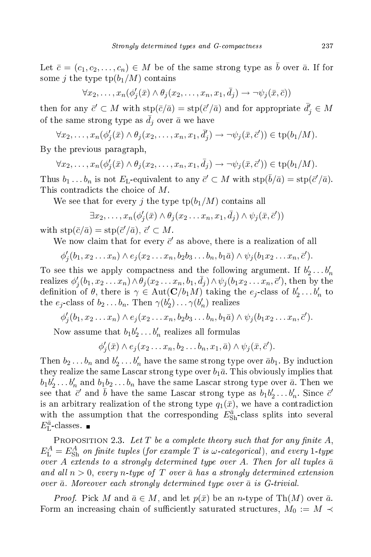Let  $\bar{c} = (c_1, c_2, \ldots, c_n) \in M$  be of the same strong type as  $\bar{b}$  over  $\bar{a}$ . If for some j the type  $\text{tp}(b_1/M)$  contains

$$
\forall x_2,\ldots,x_n(\phi'_j(\bar{x})\wedge\theta_j(x_2,\ldots,x_n,x_1,\bar{d}_j)\rightarrow\neg\psi_j(\bar{x},\bar{c}))
$$

then for any  $\bar{c}' \subset M$  with  $\text{stp}(\bar{c}/\bar{a}) = \text{stp}(\bar{c}'/\bar{a})$  and for appropriate  $\bar{d}'_j \in M$ of the same strong type as  $\bar{d}_i$  over  $\bar{a}$  we have

 $\forall x_2, \ldots, x_n (\phi'_j)$  $\mathcal{G}_j(\bar{x})\wedge \theta_j(x_2,\ldots,x_n,x_1,\bar{d}_j')$  $\psi'_j$ )  $\to \neg \psi_j(\bar{x}, \bar{c}')) \in \text{tp}(b_1/M)$ .

By the previous paragraph,

$$
\forall x_2, \ldots, x_n(\phi'_j(\bar{x}) \land \theta_j(x_2, \ldots, x_n, x_1, \bar{d}_j) \to \neg \psi_j(\bar{x}, \bar{c}')) \in \text{tp}(b_1/M).
$$

Thus  $b_1 \dots b_n$  is not  $E_{\text{L}}$ -equivalent to any  $\bar{c}' \subset M$  with  $\text{stp}(\bar{b}/\bar{a}) = \text{stp}(\bar{c}'/\bar{a})$ . This contradicts the choice of M.

We see that for every j the type  $\text{tp}(b_1/M)$  contains all

$$
\exists x_2,\ldots,x_n(\phi'_j(\bar{x})\wedge\theta_j(x_2\ldots x_n,x_1,\bar{d}_j)\wedge\psi_j(\bar{x},\bar{c}'))
$$

with  $\text{stp}(\bar{c}/\bar{a}) = \text{stp}(\bar{c}'/\bar{a}), \bar{c}' \subset M$ .

We now claim that for every  $\vec{c}'$  as above, there is a realization of all

$$
\phi'_j(b_1,x_2\ldots x_n)\wedge e_j(x_2\ldots x_n,b_2b_3\ldots b_n,b_1\bar{a})\wedge \psi_j(b_1x_2\ldots x_n,\bar{c}').
$$

To see this we apply compactness and the following argument. If  $b'_2 \ldots b'_n$ realizes  $\phi'$  $\mathcal{H}_j(b_1,x_2\ldots x_n)\wedge \theta_j(x_2\ldots x_n,b_1,\bar{d}_j)\wedge \psi_j(b_1x_2\ldots x_n,\bar{c}'), \text{ then by the }j$ definition of  $\theta$ , there is  $\gamma \in \text{Aut}(\mathbf{C}/b_1M)$  taking the  $e_j$ -class of  $b'_2 \dots b'_n$  to the  $e_j$ -class of  $b_2 \ldots b_n$ . Then  $\gamma(b'_2) \ldots \gamma(b'_n)$  realizes

$$
\phi'_j(b_1,x_2\ldots x_n)\wedge e_j(x_2\ldots x_n,b_2b_3\ldots b_n,b_1\bar{a})\wedge \psi_j(b_1x_2\ldots x_n,\bar{c}').
$$

Now assume that  $b_1b'_2 \ldots b'_n$  realizes all formulas

$$
\phi'_j(\bar{x})\wedge e_j(x_2\ldots x_n, b_2\ldots b_n, x_1, \bar{a})\wedge \psi_j(\bar{x}, \bar{c}').
$$

Then  $b_2 \ldots b_n$  and  $b'_2 \ldots b'_n$  have the same strong type over  $\bar{a}b_1$ . By induction they realize the same Lascar strong type over  $b_1\bar{a}$ . This obviously implies that  $b_1 b_2' \ldots b_n'$  and  $b_1 b_2 \ldots b_n$  have the same Lascar strong type over  $\bar{a}$ . Then we see that  $\vec{c}'$  and  $\vec{b}$  have the same Lascar strong type as  $b_1b'_2 \ldots b'_n$ . Since  $\vec{c}'$ is an arbitrary realization of the strong type  $q_1(\bar{x})$ , we have a contradiction with the assumption that the corresponding  $E_{\rm Sh}^{\bar{a}}$ -class splits into several  $E_{\rm L}^{\bar{a}}$ -classes.

PROPOSITION 2.3. Let  $T$  be a complete theory such that for any finite  $A$ ,  $E_\mathrm{L}^A = E_\mathrm{Sh}^A$  on finite tuples (for example T is  $\omega$ -categorical), and every 1-type over A extends to a strongly determined type over A. Then for all tuples  $\bar{a}$ and all  $n > 0$ , every n-type of T over  $\bar{a}$  has a strongly determined extension over  $\bar{a}$ . Moreover each strongly determined type over  $\bar{a}$  is G-trivial.

*Proof.* Pick M and  $\bar{a} \in M$ , and let  $p(\bar{x})$  be an n-type of Th $(M)$  over  $\bar{a}$ . Form an increasing chain of sufficiently saturated structures,  $M_0 := M$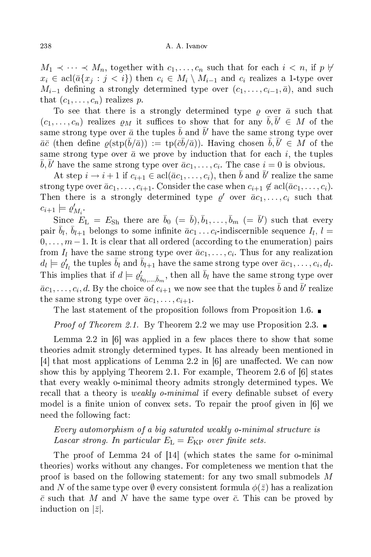$M_1 \prec \cdots \prec M_n$ , together with  $c_1, \ldots, c_n$  such that for each  $i < n$ , if  $p \not\vdash$  $x_i \in \text{acl}(\bar{a}\{x_j : j < i\})$  then  $c_i \in M_i \setminus M_{i-1}$  and  $c_i$  realizes a 1-type over  $M_{i-1}$  defining a strongly determined type over  $(c_1, \ldots, c_{i-1}, \bar{a})$ , and such that  $(c_1, \ldots, c_n)$  realizes p.

To see that there is a strongly determined type  $\rho$  over  $\bar{a}$  such that  $(c_1,\ldots,c_n)$  realizes  $\varrho_M$  it suffices to show that for any  $\bar{b}, \bar{b}' \in M$  of the same strong type over  $\bar{a}$  the tuples  $\bar{b}$  and  $\bar{b}'$  have the same strong type over  $\bar{a}\bar{c}$  (then define  $\varrho(\mathrm{stp}(\bar{b}/\bar{a})) := \mathrm{tp}(\bar{c}\bar{b}/\bar{a})$ ). Having chosen  $\bar{b}, \bar{b}' \in M$  of the same strong type over  $\bar{a}$  we prove by induction that for each i, the tuples  $\bar{b}, \bar{b}'$  have the same strong type over  $\bar{a}c_1, \ldots, c_i$ . The case  $i = 0$  is obvious.

At step  $i \to i+1$  if  $c_{i+1} \in \text{acl}(\bar{a}c_1, \ldots, c_i)$ , then  $\bar{b}$  and  $\bar{b}'$  realize the same strong type over  $\bar{a}c_1, \ldots, c_{i+1}$ . Consider the case when  $c_{i+1} \notin \text{acl}(\bar{a}c_1, \ldots, c_i)$ . Then there is a strongly determined type  $\varrho'$  over  $\bar{a}c_1, \ldots, c_i$  such that  $c_{i+1} \models \varrho'_i$  $M_i$  .

Since  $E_{\rm L}$  =  $E_{\rm Sh}$  there are  $\bar{b}_0$  (=  $\bar{b}), \bar{b}_1, \ldots, \bar{b}_m$  (=  $\bar{b}')$  such that every pair  $\bar{b}_l$ ,  $\bar{b}_{l+1}$  belongs to some infinite  $\bar{a}c_1 \ldots c_i$ -indiscernible sequence  $I_l$ ,  $l =$  $0, \ldots, m-1$ . It is clear that all ordered (according to the enumeration) pairs from  $I_l$  have the same strong type over  $\bar{a}c_1, \ldots, c_i$ . Thus for any realization  $d_l \models \varrho'_l$  $I_l^{\prime}$  the tuples  $\bar{b}_l$  and  $\bar{b}_{l+1}$  have the same strong type over  $\bar{a}c_1,\ldots,c_i,d_l.$ This implies that if  $d \models \varrho'_{\bar{b}_0,\dots,\bar{b}_m}$ , then all  $\bar{b}_l$  have the same strong type over  $\bar{a}c_1,\ldots,c_i,d.$  By the choice of  $c_{i+1}$  we now see that the tuples  $\bar{b}$  and  $\bar{b}'$  realize the same strong type over  $\bar{a}c_1, \ldots, c_{i+1}$ .

The last statement of the proposition follows from Proposition 1.6.  $\blacksquare$ 

*Proof of Theorem 2.1.* By Theorem 2.2 we may use Proposition 2.3.

Lemma 2.2 in  $[6]$  was applied in a few places there to show that some theories admit strongly determined types. It has already been mentioned in [4] that most applications of Lemma 2.2 in  $[6]$  are unaffected. We can now show this by applying Theorem 2.1. For example, Theorem 2.6 of  $[6]$  states that every weakly o-minimal theory admits strongly determined types. We recall that a theory is *weakly o-minimal* if every definable subset of every model is a finite union of convex sets. To repair the proof given in  $[6]$  we need the following fa
t:

## Every automorphism of a big saturated weakly o-minimal stru
ture is Lascar strong. In particular  $E_{\rm L}=E_{\rm KP}$  over finite sets.

The proof of Lemma 24 of  $[14]$  (which states the same for o-minimal theories) works without any hanges. For ompleteness we mention that the proof is based on the following statement: for any two small submodels M and  $N$  of the same type over  $\emptyset$  every consistent formula  $\phi({\bar{z}})$  has a realization  $\bar{c}$  such that M and N have the same type over  $\bar{c}$ . This can be proved by induction on  $|\bar{z}|$ .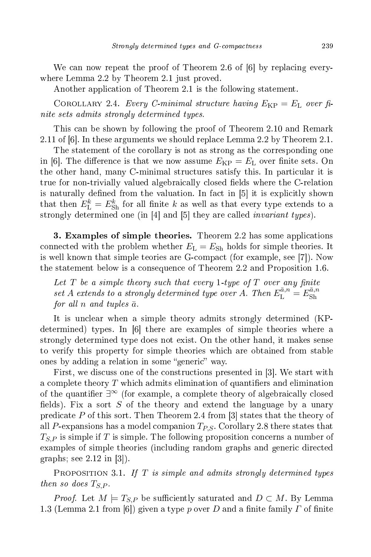We can now repeat the proof of Theorem 2.6 of  $[6]$  by replacing everywhere Lemma 2.2 by Theorem 2.1 just proved.

Another application of Theorem 2.1 is the following statement.

COROLLARY 2.4. Every C-minimal structure having  $E_{\rm KP} = E_{\rm L}$  over finite sets admits strongly determined types.

This an be shown by following the proof of Theorem 2.10 and Remark 2.11 of  $[6]$ . In these arguments we should replace Lemma 2.2 by Theorem 2.1.

The statement of the corollary is not as strong as the corresponding one in [6]. The difference is that we now assume  $E_{\rm KP} = E_{\rm L}$  over finite sets. On the other hand, many C-minimal structures satisfy this. In particular it is true for non-trivially valued algebraically closed fields where the C-relation is naturally defined from the valuation. In fact in  $[5]$  it is explicitly shown that then  $E_{\text{L}}^{k}=E_{\text{Sh}}^{k}$  for all finite k as well as that every type extends to a strongly determined one (in [4℄ and [5℄ they are alled invariant types).

3. Examples of simple theories. Theorem 2.2 has some applications connected with the problem whether  $E<sub>L</sub> = E<sub>Sh</sub>$  holds for simple theories. It is well known that simple teories are G-compact (for example, see  $[7]$ ). Now the statement below is a onsequen
e of Theorem 2.2 and Proposition 1.6.

Let  $T$  be a simple theory such that every 1-type of  $T$  over any finite set A extends to a strongly determined type over A. Then  $E_{\rm L}^{{\bar a},n}=E_{\rm Sh}^{{\bar a},n}$ Sh for all n and tuples  $\bar{a}$ .

It is un
lear when a simple theory admits strongly determined (KPdetermined) types. In [6] there are examples of simple theories where a strongly determined type does not exist. On the other hand, it makes sense to verify this property for simple theories whi
h are obtained from stable ones by adding a relation in some "generic" way.

First, we discuss one of the constructions presented in  $[3]$ . We start with a complete theory T which admits elimination of quantifiers and elimination of the quantifier  $\exists^{\infty}$  (for example, a complete theory of algebraically closed fields). Fix a sort  $S$  of the theory and extend the language by a unary predicate P of this sort. Then Theorem 2.4 from  $\lbrack 3 \rbrack$  states that the theory of all P-expansions has a model companion  $T_{PS}$ . Corollary 2.8 there states that  $T_{S,P}$  is simple if T is simple. The following proposition concerns a number of examples of simple theories (including random graphs and generic directed graphs; see  $2.12$  in  $|3|$ ).

PROPOSITION 3.1. If T is simple and admits strongly determined types then so does  $T_{S.P.}$ 

*Proof.* Let  $M \models T_{S,P}$  be sufficiently saturated and  $D \subset M$ . By Lemma 1.3 (Lemma 2.1 from [6]) given a type p over D and a finite family  $\Gamma$  of finite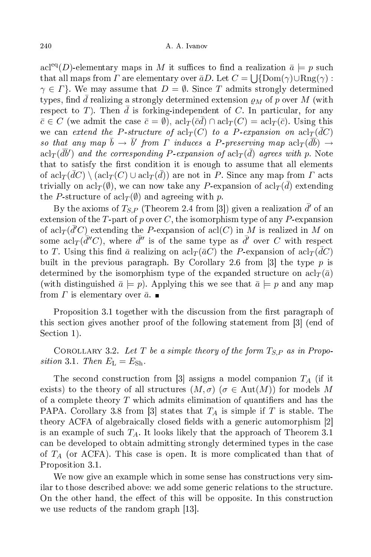acl<sup>eq</sup>(*D*)-elementary maps in M it suffices to find a realization  $\bar{a} \models p$  such that all maps from  $\overline{\Gamma}$  are elementary over  $\bar{a}D.$  Let  $C = \bigcup \{ \operatorname{Dom}(\gamma) \cup \operatorname{Rng}(\gamma) :$  $\gamma \in \Gamma$ . We may assume that  $D = \emptyset$ . Since T admits strongly determined types, find d realizing a strongly determined extension  $\rho_M$  of p over M (with respect to T). Then  $\bar{d}$  is forking-independent of C. In particular, for any  $\bar{c} \in C$  (we admit the case  $\bar{c} = \emptyset$ ),  $\mathrm{acl}_{T}(\bar{c}\bar{d}) \cap \mathrm{acl}_{T}(C) = \mathrm{acl}_{T}(\bar{c})$ . Using this we can extend the P-structure of  $\operatorname{acl}_{T}(C)$  to a P-expansion on  $\operatorname{acl}_{T}(\bar{d}C)$ so that any map  $\bar{b} \to \bar{b}'$  from  $\Gamma$  induces a P-preserving map  $\mathrm{acl}_{T}(\overline{db}) \to$  $\text{acl}_{T}(\bar{d}\bar{b}')$  and the corresponding  $P$ -expansion of  $\text{acl}_{T}(\bar{d})$  agrees with  $p.$  Note that to satisfy the first condition it is enough to assume that all elements of  $\operatorname{acl}_{T}(\bar d C) \setminus (\operatorname{acl}_{T}(C) \cup \operatorname{acl}_{T}(\bar d))$  are not in P. Since any map from  $\varGamma$  acts trivially on  $\text{acl}_{T}(\emptyset),$  we can now take any  $P\text{-expansion}$  of  $\text{acl}_{T}(\bar{d})$  extending the P-structure of  $\operatorname{acl}_{T}(\emptyset)$  and agreeing with p.

By the axioms of  $T_{S,P}$  (Theorem 2.4 from [3]) given a realization  $\bar{d}'$  of an extension of the T-part of p over C, the isomorphism type of any  $P$ -expansion of  $\operatorname{acl}_{T}(\bar{d}'C)$  extending the P-expansion of  $\operatorname{acl}(C)$  in M is realized in M on some acl $_T(\bar{d}''C)$ , where  $\bar{d}''$  is of the same type as  $\bar{d}'$  over  $C$  with respect to  $T.$  Using this find  $\bar a$  realizing on  $\operatorname{acl}_{T}(\bar a C)$  the  $P$ -expansion of  $\operatorname{acl}_{T}(\bar d C)$ built in the previous paragraph. By Corollary 2.6 from [3] the type  $p$  is determined by the isomorphism type of the expanded structure on  $\operatorname{acl}_{T}(\bar{a})$ (with distinguished  $\bar{a} \models p$ ). Applying this we see that  $\bar{a} \models p$  and any map from  $\Gamma$  is elementary over  $\bar{a}$ .

Proposition 3.1 together with the discussion from the first paragraph of this section gives another proof of the following statement from [3] (end of Section 1).

COROLLARY 3.2. Let T be a simple theory of the form  $T_{S,P}$  as in Proposition 3.1. Then  $E_{\rm L} = E_{\rm Sh}$ .

The second construction from [3] assigns a model companion  $T_A$  (if it exists) to the theory of all structures  $(M, \sigma)$  ( $\sigma \in Aut(M)$ ) for models M of a complete theory  $T$  which admits elimination of quantifiers and has the PAPA. Corollary 3.8 from [3] states that  $T_A$  is simple if T is stable. The theory ACFA of algebraically closed fields with a generic automorphism [2] is an example of such  $T_A$ . It looks likely that the approach of Theorem 3.1 an be developed to obtain admitting strongly determined types in the ase of  $T_A$  (or ACFA). This case is open. It is more complicated than that of Proposition 3.1.

We now give an example which in some sense has constructions very similar to those described above: we add some generic relations to the structure. On the other hand, the effect of this will be opposite. In this construction we use reducts of the random graph  $[13]$ .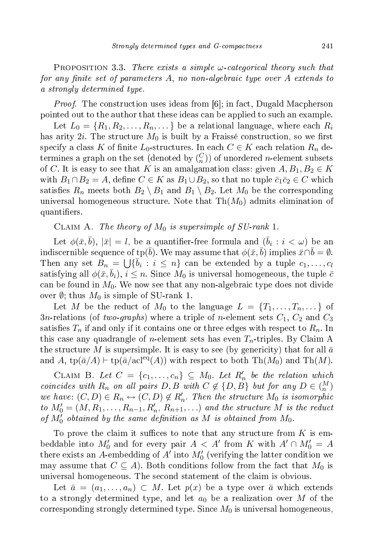PROPOSITION 3.3. There exists a simple  $\omega$ -categorical theory such that for any finite set of parameters  $A$ , no non-algebraic type over  $A$  extends to a strongly determined type.

*Proof.* The construction uses ideas from [6]; in fact, Dugald Macpherson pointed out to the author that these ideas an be applied to su
h an example.

Let  $L_0 = \{R_1, R_2, \ldots, R_n, \ldots\}$  be a relational language, where each  $R_i$ has arity  $2i$ . The structure  $M_0$  is built by a Fraissé construction, so we first specify a class K of finite  $L_0$ -structures. In each  $C \in K$  each relation  $R_n$  determines a graph on the set (denoted by  $\binom{C}{n}$ ) of unordered *n*-element subsets of C. It is easy to see that K is an amalgamation class: given  $A, B_1, B_2 \in K$ with  $B_1 \cap B_2 = A$ , define  $C \in K$  as  $B_1 \cup B_2$ , so that no tuple  $\bar{c}_1 \bar{c}_2 \in C$  which satisfies  $R_n$  meets both  $B_2 \setminus B_1$  and  $B_1 \setminus B_2$ . Let  $M_0$  be the corresponding universal homogeneous structure. Note that  $\text{Th}(M_0)$  admits elimination of quantifiers.

CLAIM A. The theory of  $M_0$  is supersimple of SU-rank 1.

Let  $\phi({\bar {x}}, {\bar {b}}),\,|{\bar {x}}|=l,$  be a quantifier-free formula and  $({\bar {b}}_i:i<\omega)$  be an indiscernible sequence of tp $(\overline{b})$ . We may assume that  $\phi(\bar{x}, \bar{b})$  implies  $\bar{x} \cap \bar{b} = \emptyset$ . Then any set  $B_n = \bigcup \{ \overline{b_i} : i \leq n \}$  can be extended by a tuple  $c_1, \ldots, c_l$ satisfying all  $\phi(\bar{x}, b_i), i \leq n$ . Since  $M_0$  is universal homogeneous, the tuple  $\bar{c}$ can be found in  $M_0$ . We now see that any non-algebraic type does not divide over  $\emptyset$ ; thus  $M_0$  is simple of SU-rank 1.

Let M be the reduct of  $M_0$  to the language  $L = \{T_1, \ldots, T_n, \ldots\}$  of 3n-relations (of two-graphs) where a triple of n-element sets  $C_1$ ,  $C_2$  and  $C_3$ satisfies  $T_n$  if and only if it contains one or three edges with respect to  $R_n$ . In this case any quadrangle of *n*-element sets has even  $T_n$ -triples. By Claim A the structure M is supersimple. It is easy to see (by genericity) that for all  $\bar{a}$ and A, tp( $\bar{a}/A$ ) ⊢ tp( $\bar{a}/\text{acl}^{\text{eq}}(A)$ ) with respect to both Th( $M_0$ ) and Th( $M$ ).

CLAIM B. Let  $C = \{c_1, \ldots, c_n\} \subseteq M_0$ . Let  $R'_n$  be the relation which coincides with  $R_n$  on all pairs  $D, B$  with  $C \notin \{D, B\}$  but for any  $D \in \binom{M}{n}$ we have:  $(C, D) \in R_n \leftrightarrow (C, D) \notin R'_n$ . Then the structure  $M_0$  is isomorphic to  $M'_0 = (M, R_1, \ldots, R_{n-1}, R'_n, R_{n+1}, \ldots)$  and the structure M is the reduct of  $M_0^{\gamma}$  obtained by the same definition as M is obtained from  $M_0$ .

To prove the claim it suffices to note that any structure from  $K$  is embeddable into  $M'_0$  and for every pair  $A < A'$  from K with  $A' \cap M'_0 = A$ there exists an A-embedding of  $A'$  into  $M'_0$  (verifying the latter condition we may assume that  $C \subseteq A$ ). Both conditions follow from the fact that  $M_0$  is universal homogeneous. The second statement of the claim is obvious.

Let  $\bar{a} = (a_1, \ldots, a_n) \subset M$ . Let  $p(x)$  be a type over  $\bar{a}$  which extends to a strongly determined type, and let  $a_0$  be a realization over M of the corresponding strongly determined type. Since  $M_0$  is universal homogeneous,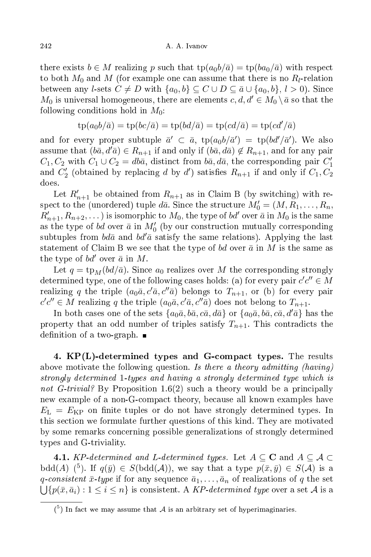there exists  $b \in M$  realizing p such that  $tp(a_0b/\bar{a}) = tp(ba_0/\bar{a})$  with respect to both  $M_0$  and  $M$  (for example one can assume that there is no  $R_l$ -relation between any *l*-sets  $C \neq D$  with  $\{a_0, b\} \subseteq C \cup D \subseteq \bar{a} \cup \{a_0, b\}, l > 0$ . Since  $M_0$  is universal homogeneous, there are elements  $c, d, d' \in M_0 \setminus \overline{a}$  so that the following conditions hold in  $M_0$ :

$$
tp(a_0b/\bar{a}) = tp(bc/\bar{a}) = tp(bd/\bar{a}) = tp(cd/\bar{a}) = tp(cd'/\bar{a})
$$

and for every proper subtuple  $\bar{a}' \subset \bar{a}$ ,  $tp(a_0b/\bar{a}') = tp(bd'/\bar{a}')$ . We also assume that  $(b\bar{a}, d'\bar{a}) \in R_{n+1}$  if and only if  $(b\bar{a}, d\bar{a}) \notin R_{n+1}$ , and for any pair  $C_1, C_2$  with  $C_1 \cup C_2 = db\bar{a}$ , distinct from  $b\bar{a}$ ,  $d\bar{a}$ , the corresponding pair  $C_1'$ and  $C'_{2}$  (obtained by replacing d by d') satisfies  $R_{n+1}$  if and only if  $C_{1}, C_{2}$ does.

Let  $R'_{n+1}$  be obtained from  $R_{n+1}$  as in Claim B (by switching) with respect to the (unordered) tuple  $d\bar{a}$ . Since the structure  $M_0' = (M, R_1, \ldots, R_n,$  $R'_{n+1}, R_{n+2}, \dots$  ) is isomorphic to  $M_0$ , the type of  $bd'$  over  $\bar{a}$  in  $M_0$  is the same as the type of bd over  $\bar{a}$  in  $M'_{0}$  (by our construction mutually corresponding subtuples from  $b d\bar{a}$  and  $b d\bar{a}$  satisfy the same relations). Applying the last statement of Claim B we see that the type of bd over  $\bar{a}$  in M is the same as the type of  $bd'$  over  $\bar{a}$  in M.

Let  $q = \text{tp}_M(bd/\bar{a})$ . Since  $a_0$  realizes over M the corresponding strongly determined type, one of the following cases holds: (a) for every pair  $c'c'' \in M$ realizing q the triple  $(a_0\bar{a}, c'\bar{a}, c''\bar{a})$  belongs to  $T_{n+1}$ , or (b) for every pair  $c'c'' \in M$  realizing q the triple  $(a_0\bar{a}, c'\bar{a}, c''\bar{a})$  does not belong to  $T_{n+1}$ .

In both cases one of the sets  $\{a_0\bar{a}, b\bar{a}, c\bar{a}, d\bar{a}\}$  or  $\{a_0\bar{a}, b\bar{a}, c\bar{a}, d'\bar{a}\}$  has the property that an odd number of triples satisfy  $T_{n+1}$ . This contradicts the definition of a two-graph.  $\blacksquare$ 

4. KP(L)-determined types and Gompa
t types. The results above motivate the following question. Is there a theory admitting (having) strongly determined 1-types and having a strongly determined type whi
h is not G-trivial? By Proposition 1.6(2) such a theory would be a principally new example of a non-G-compact theory, because all known examples have  $E_{\rm L} = E_{\rm KP}$  on finite tuples or do not have strongly determined types. In this se
tion we formulate further questions of this kind. They are motivated by some remarks concerning possible generalizations of strongly determined types and G-triviality.

**4.1.** KP-determined and L-determined types. Let  $A \subseteq \mathbf{C}$  and  $A \subseteq \mathcal{A} \subset \mathbf{C}$ bdd(A) (<sup>5</sup>). If  $q(\bar{y}) \in S(\text{bdd}(\mathcal{A}))$ , we say that a type  $p(\bar{x}, \bar{y}) \in S(\mathcal{A})$  is a q-consistent  $\bar{x}$ -type if for any sequence  $\bar{a}_1, \ldots, \bar{a}_n$  of realizations of q the set  $\bigcup \{p(\bar{x}, \bar{a}_i): 1 \leq i \leq n\}$  is consistent. A KP-determined type over a set A is a

 $\binom{5}{1}$  In fact we may assume that A is an arbitrary set of hyperimaginaries.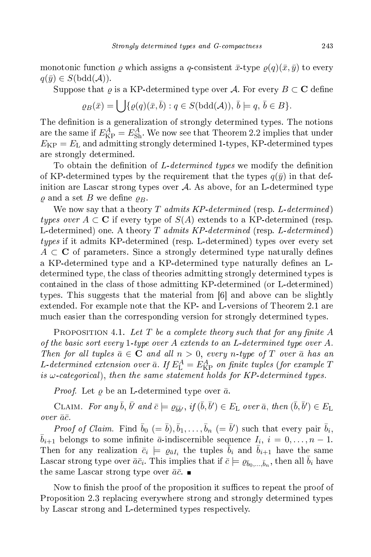monotonic function  $\rho$  which assigns a q-consistent  $\bar{x}$ -type  $\rho(q)(\bar{x}, \bar{y})$  to every  $q(\bar{y}) \in S(\text{bdd}(\mathcal{A})).$ 

Suppose that  $\varrho$  is a KP-determined type over A. For every  $B \subset \mathbf{C}$  define  $\angle$  (q(1, 1, 1(, 4)),  $\frac{1}{2}$ 

$$
\varrho_B(\bar{x}) = \bigcup \{ \varrho(q)(\bar{x}, \bar{b}) : q \in S(\mathrm{bdd}(\mathcal{A})), \bar{b} \models q, \bar{b} \in B \}.
$$

The definition is a generalization of strongly determined types. The notions are the same if  $E_{\text{KP}}^A = E_{\text{Sh}}^A$ . We now see that Theorem 2.2 implies that under  $E_{\rm KP} = E_{\rm L}$  and admitting strongly determined 1-types, KP-determined types are strongly determined.

To obtain the definition of L-determined types we modify the definition of KP-determined types by the requirement that the types  $q(\bar{y})$  in that definition are Lascar strong types over  $\mathcal{A}$ . As above, for an L-determined type  $\rho$  and a set B we define  $\rho_B$ .

We now say that a theory T admits KP-determined (resp. L-determined) types over  $A \subset \mathbb{C}$  if every type of  $S(A)$  extends to a KP-determined (resp. L-determined) one. A theory T admits KP-determined (resp. L-determined) types if it admits KP-determined (resp. L-determined) types over every set  $A \subset \mathbf{C}$  of parameters. Since a strongly determined type naturally defines a KP-determined type and a KP-determined type naturally defines an Ldetermined type, the lass of theories admitting strongly determined types is ontained in the lass of those admitting KP-determined (or L-determined) types. This suggests that the material from  $[6]$  and above can be slightly extended. For example note that the KP- and L-versions of Theorem 2.1 are mu
h easier than the orresponding version for strongly determined types.

PROPOSITION 4.1. Let T be a complete theory such that for any finite  $A$ of the basic sort every 1-type over A extends to an L-determined type over A. Then for all tuples  $\bar{a} \in \mathbf{C}$  and all  $n > 0$ , every n-type of T over  $\bar{a}$  has an L-determined extension over  $\bar{a}$ . If  $E_{\rm L}^A = E_{\rm KP}^A$  on finite tuples (for example T is  $\omega$ -categorical), then the same statement holds for KP-determined types.

*Proof.* Let  $\rho$  be an L-determined type over  $\bar{a}$ .

CLAIM. For any  $\bar{b}$ ,  $\bar{b}'$  and  $\bar{c} \models \varrho_{\bar{b}\bar{b}'}, \text{ if } (\bar{b}, \bar{b}') \in E_{\text{L}}$  over  $\bar{a}$ , then  $(\bar{b}, \bar{b}') \in E_{\text{L}}$ over  $\bar{a}\bar{c}$ .

*Proof of Claim.* Find  $\bar{b}_0$  (=  $\bar{b}$ ),  $\bar{b}_1, \ldots, \bar{b}_n$  (=  $\bar{b}'$ ) such that every pair  $\bar{b}_i$ ,  $\bar{b}_{i+1}$  belongs to some infinite  $\bar{a}$ -indiscernible sequence  $I_i$ ,  $i = 0, \ldots, n-1$ . Then for any realization  $\bar{c}_i \models \varrho_{\bar{a}I_i}$  the tuples  $\bar{b}_i$  and  $\bar{b}_{i+1}$  have the same Lascar strong type over  $\bar{a}\bar{c}_i$ . This implies that if  $\bar{c}\models \varrho_{\bar{b}_0,...,\bar{b}_n}$ , then all  $\bar{b}_i$  have the same Lascar strong type over  $\bar{a}\bar{c}$ .

Now to finish the proof of the proposition it suffices to repeat the proof of Proposition 2.3 replacing everywhere strong and strongly determined types by Las
ar strong and L-determined types respe
tively.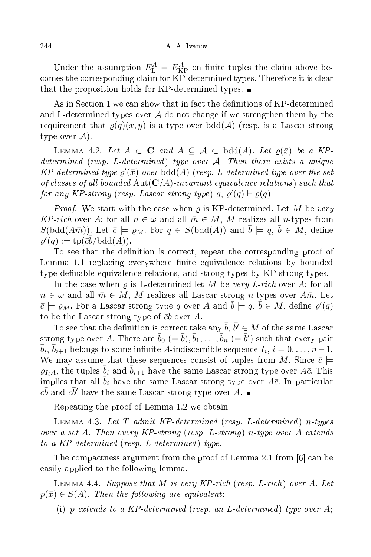Under the assumption  $E_{\text{L}}^{A} = E_{\text{KP}}^{A}$  on finite tuples the claim above becomes the corresponding claim for KP-determined types. Therefore it is clear that the proposition holds for KP-determined types.

As in Section 1 we can show that in fact the definitions of KP-determined and L-determined types over  $\mathcal A$  do not change if we strengthen them by the requirement that  $\rho(q)(\bar{x}, \bar{y})$  is a type over bdd(A) (resp. is a Lascar strong type over  $\mathcal{A}$ ).

LEMMA 4.2. Let  $A \subset \mathbf{C}$  and  $A \subset \mathcal{A} \subset \text{bdd}(A)$ . Let  $\rho(\bar{x})$  be a KPdetermined (resp. L-determined) type over  $A$ . Then there exists a unique  $KP\text{-}determined\ type\ \varrho'(\bar{x})\ over\ \text{bdd}(A)\ (resp.\ L\text{-}determined\ type\ over\ the\ set$ of classes of all bounded  $\text{Aut}(\mathbf{C}/A)$ -invariant equivalence relations) such that for any KP-strong (resp. Lascar strong type)  $q, \varrho'(q) \vdash \varrho(q)$ .

*Proof.* We start with the case when  $\rho$  is KP-determined. Let M be very KP-rich over A: for all  $n \in \omega$  and all  $\bar{m} \in M$ , M realizes all n-types from  $S(\text{bdd}(A\bar{m}))$ . Let  $\bar{c} \models \varrho_M$ . For  $q \in S(\text{bdd}(A))$  and  $\bar{b} \models q, \bar{b} \in M$ , define  $\varrho'(q) := \text{tp}(\bar{c}\bar{b}/\text{bdd}(A)).$ 

To see that the definition is correct, repeat the corresponding proof of Lemma 1.1 replacing everywhere finite equivalence relations by bounded type-definable equivalence relations, and strong types by KP-strong types.

In the case when  $\rho$  is L-determined let M be very L-rich over A: for all  $n \in \omega$  and all  $\bar{m} \in M$ , M realizes all Lascar strong n-types over  $A\bar{m}$ . Let  $\bar{c} \models \varrho_M$ . For a Lascar strong type q over A and  $\bar{b} \models q$ ,  $\bar{b} \in M$ , define  $\varrho'(q)$ to be the Lascar strong type of  $\bar{c}\bar{b}$  over  $A$ .

To see that the definition is correct take any  $\bar b, \bar b' \in M$  of the same Lascar strong type over A. There are  $\bar{b}_0\ (= \bar{b}), \bar{b}_1, \ldots, \bar{b}_n\ (= \bar{b}')$  such that every pair  $\bar{b}_i$ ,  $\bar{b}_{i+1}$  belongs to some infinite A-indiscernible sequence  $I_i$ ,  $i = 0, \ldots, n-1$ . We may assume that these sequences consist of tuples from M. Since  $\bar{c} \models$  $\varrho_{I_iA}$ , the tuples  $\bar{b}_i$  and  $\bar{b}_{i+1}$  have the same Lascar strong type over  $A\bar{c}$ . This implies that all  $b_i$  have the same Lascar strong type over  $A\bar{c}$ . In particular  $c\bar{b}$  and  $\bar{c}\bar{b}'$  have the same Lascar strong type over A.

Repeating the proof of Lemma 1.2 we obtain

LEMMA 4.3. Let  $T$  admit KP-determined (resp. L-determined) n-types over a set A. Then every KP-strong (resp. L-strong) n-type over A extends to a KP-determined (resp. L-determined) type.

The compactness argument from the proof of Lemma 2.1 from [6] can be easily applied to the following lemma.

LEMMA 4.4. Suppose that M is very KP-rich (resp. L-rich) over A. Let  $p(\bar{x}) \in S(A)$ . Then the following are equivalent:

(i) p extends to a KP-determined (resp. an L-determined) type over A;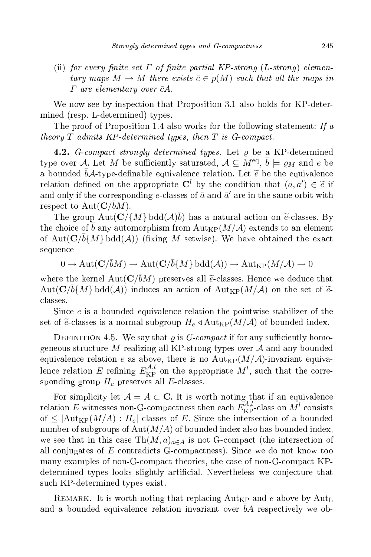(ii) for every finite set  $\Gamma$  of finite partial KP-strong (L-strong) elementary maps  $M \to M$  there exists  $\bar{c} \in p(M)$  such that all the maps in  $\Gamma$  are elementary over  $\bar{c}A$ .

We now see by inspection that Proposition 3.1 also holds for KP-determined (resp. L-determined) types.

The proof of Proposition 1.4 also works for the following statement: If  $a$ theory  $T$  admits KP-determined types, then  $T$  is  $G$ -compact.

**4.2.** G-compact strongly determined types. Let  $\rho$  be a KP-determined type over  ${\cal A}.$  Let  $M$  be sufficiently saturated,  ${\cal A}\subseteq M^{\rm eq},\, \bar b \models \varrho_M$  and  $e$  be a bounded  $\bar{b} \mathcal{A}$ -type-definable equivalence relation. Let  $\widetilde{e}$  be the equivalence relation defined on the appropriate  $\mathbf{C}^l$  by the condition that  $(\bar{a}, \bar{a}') \in \tilde{e}$  if and only if the corresponding e-classes of  $\bar{a}$  and  $\bar{a}'$  are in the same orbit with respect to  $\text{Aut}(\mathbf{C}/\bar{b}M)$ .

The group  $\text{Aut}(\mathbf{C}/\{M\} \text{bdd}(\mathcal{A})\bar{b})$  has a natural action on  $\tilde{e}$ -classes. By the choice of b any automorphism from  ${\rm Aut}_{\rm KP}(M/{\mathcal A})$  extends to an element of  $\text{Aut}(\mathbf{C}/\bar{b}\{M\} \text{ bdd}(\mathcal{A}))$  (fixing M setwise). We have obtained the exact sequence

 $0 \to \text{Aut}(\mathbf{C}/\bar{b}M) \to \text{Aut}(\mathbf{C}/\bar{b}\{M\} \text{ bdd}(\mathcal{A})) \to \text{Aut}_{\text{KP}}(M/\mathcal{A}) \to 0$ 

where the kernel  $Aut(C/\bar{b}M)$  preserves all  $\tilde{e}$ -classes. Hence we deduce that  $\mathrm{Aut}(\mathbf{C}/\bar{b}\{M\}\,\mathrm{bdd}(\mathcal{A}))$  induces an action of  $\mathrm{Aut}_{\mathrm{KP}}(M/\mathcal{A})$  on the set of  $\widetilde{e}_1$ lasses.

Since e is a bounded equivalence relation the pointwise stabilizer of the set of  $\tilde{e}$  classes is a normal subgroup  $H_e \triangleleft \text{Aut}_{KP}(M/A)$  of bounded index.

DEFINITION 4.5. We say that  $\rho$  is *G-compact* if for any sufficiently homogeneous structure M realizing all KP-strong types over  $A$  and any bounded equivalence relation e as above, there is no  ${\rm Aut}_{\rm KP}(M/\mathcal{A})$ -invariant equivalence relation E refining  $E_{\mathrm{KP}}^{\mathcal{A},l}$  on the appropriate  $M^l$ , such that the corresponding group  $H_e$  preserves all E-classes.

For simplicity let  $A = A \subset \mathbf{C}$ . It is worth noting that if an equivalence relation E witnesses non-G-compactness then each  $\bar{E}_{\rm KP}^{\bar{A},l}$ -class on  $\bar{M}^l$  consists of  $\leq$   $|\text{Aut}_{\text{KP}}(M/A) : H_e|$  classes of E. Since the intersection of a bounded number of subgroups of  $Aut(M/A)$  of bounded index also has bounded index, we see that in this case  $\text{Th}(M, a)_{a \in A}$  is not G-compact (the intersection of all conjugates of  $E$  contradicts G-compactness). Since we do not know too many examples of non-Gompa
t theories, the ase of non-Gompa
t KPdetermined types looks slightly artificial. Nevertheless we conjecture that su
h KP-determined types exist.

REMARK. It is worth noting that replacing  $\text{Aut}_{\text{KP}}$  and e above by  $\text{Aut}_{\text{L}}$ and a bounded equivalence relation invariant over  $bA$  respectively we ob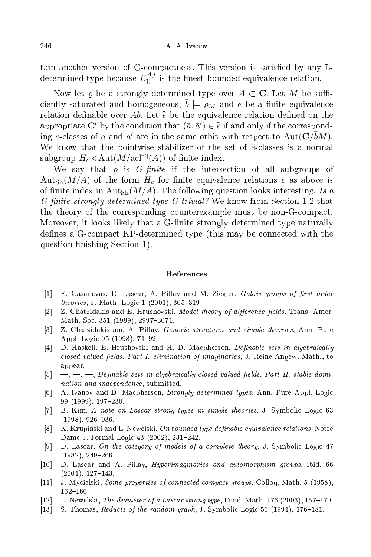tain another version of G-compactness. This version is satisfied by any Ldetermined type because  $E_{\rm L}^{A,l}$ L is the nicst bounded equivalence relation.

Now let  $\varrho$  be a strongly determined type over  $A \subset \mathbf{C}$ . Let M be sufficiently saturated and homogeneous,  $b \models \rho_M$  and e be a finite equivalence relation definable over  $A\bar{b}$ . Let  $\tilde{e}$  be the equivalence relation defined on the appropriate  $\mathbf{C}^l$  by the condition that  $(\bar{a}, \bar{a}') \in \tilde{e}$  if and only if the corresponding e-classes of  $\bar{a}$  and  $\bar{a}'$  are in the same orbit with respect to Aut( $\mathbf{C}/\bar{b}M$ ). We know that the pointwise stabilizer of the set of  $\tilde{e}$ -classes is a normal subgroup  $H_e \triangleleft Aut(M/\text{acl}^{eq}(A))$  of finite index.

We say that  $\rho$  is *G-finite* if the intersection of all subgroups of  $\text{Aut}_{\text{Sh}}(M/A)$  of the form  $H_e$  for finite equivalence relations e as above is of finite index in Aut<sub>Sh</sub> $(M/A)$ . The following question looks interesting. Is a G-finite strongly determined type G-trivial? We know from Section 1.2 that the theory of the orresponding ounterexample must be non-Gompa
t. Moreover, it looks likely that a G-finite strongly determined type naturally defines a G-compact KP-determined type (this may be connected with the question finishing Section 1.

## Referen
es

- [1] E. Casanovas, D. Lascar, A. Pillay and M. Ziegler, Galois groups of first order  $theories, J. Math. Logic 1 (2001), 305-319.$
- [2] Z. Chatzidakis and E. Hrushovski, Model theory of difference fields, Trans. Amer. Math. Soc. 351 (1999), 2997-3071.
- [3] Z. Chatzidakis and A. Pillay, *Generic structures and simple theories*, Ann. Pure Appl. Logic 95 (1998), 71-92.
- $[4]$  D. Haskell, E. Hrushovski and H. D. Macpherson, *Definable sets in algebraically* closed valued fields. Part I: elimination of imaginaries, J. Reine Angew. Math., to appear.
- [5]  $-$ ,  $-$ ,  $-$ , Definable sets in algebraically closed valued fields. Part II: stable domination and independence, submitted.
- [6] A. Ivanov and D. Macpherson, *Strongly determined types*, Ann. Pure Appl. Logic 99 (1999), 197-230.
- [7] B. Kim, A note on Lascar strong types in simple theories, J. Symbolic Logic 63  $(1998), 926 - 936.$
- [8] K. Krupiński and L. Newelski, On bounded type definable equivalence relations, Notre Dame J. Formal Logic 43 (2002), 231-242.
- [9] D. Lascar, On the category of models of a complete theory, J. Symbolic Logic 47  $(1982), 249 - 266.$
- [10] D. Lascar and A. Pillay, *Hyperimaginaries and automorphism groups*, ibid. 66  $(2001), 127-143.$
- [11] J. Mycielski, Some properties of connected compact groups, Colloq. Math. 5 (1958), 162-166.
- [12] L. Newelski, *The diameter of a Lascar strong type*, Fund. Math. 176 (2003), 157–170.
- [13] S. Thomas, Reducts of the random graph, J. Symbolic Logic 56 (1991), 176–181.